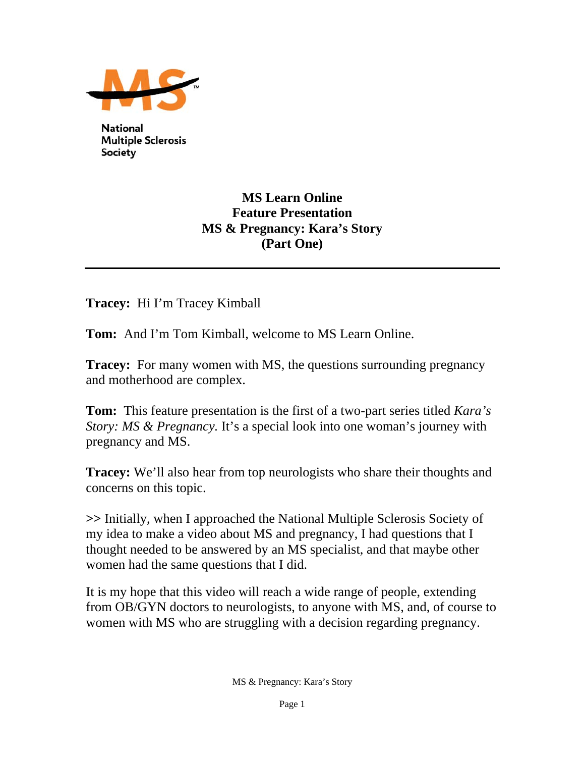

**National Multiple Sclerosis Society** 

## **MS Learn Online Feature Presentation MS & Pregnancy: Kara's Story (Part One)**

**Tracey:** Hi I'm Tracey Kimball

**Tom:** And I'm Tom Kimball, welcome to MS Learn Online.

**Tracey:** For many women with MS, the questions surrounding pregnancy and motherhood are complex.

**Tom:** This feature presentation is the first of a two-part series titled *Kara's Story: MS & Pregnancy.* It's a special look into one woman's journey with pregnancy and MS.

**Tracey:** We'll also hear from top neurologists who share their thoughts and concerns on this topic.

**>>** Initially, when I approached the National Multiple Sclerosis Society of my idea to make a video about MS and pregnancy, I had questions that I thought needed to be answered by an MS specialist, and that maybe other women had the same questions that I did.

It is my hope that this video will reach a wide range of people, extending from OB/GYN doctors to neurologists, to anyone with MS, and, of course to women with MS who are struggling with a decision regarding pregnancy.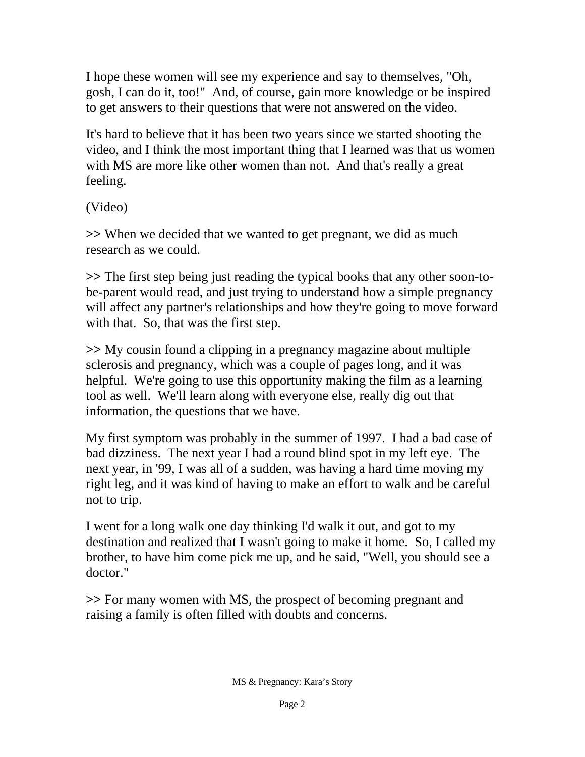I hope these women will see my experience and say to themselves, "Oh, gosh, I can do it, too!" And, of course, gain more knowledge or be inspired to get answers to their questions that were not answered on the video.

It's hard to believe that it has been two years since we started shooting the video, and I think the most important thing that I learned was that us women with MS are more like other women than not. And that's really a great feeling.

(Video)

**>>** When we decided that we wanted to get pregnant, we did as much research as we could.

**>>** The first step being just reading the typical books that any other soon-tobe-parent would read, and just trying to understand how a simple pregnancy will affect any partner's relationships and how they're going to move forward with that. So, that was the first step.

**>>** My cousin found a clipping in a pregnancy magazine about multiple sclerosis and pregnancy, which was a couple of pages long, and it was helpful. We're going to use this opportunity making the film as a learning tool as well. We'll learn along with everyone else, really dig out that information, the questions that we have.

My first symptom was probably in the summer of 1997. I had a bad case of bad dizziness. The next year I had a round blind spot in my left eye. The next year, in '99, I was all of a sudden, was having a hard time moving my right leg, and it was kind of having to make an effort to walk and be careful not to trip.

I went for a long walk one day thinking I'd walk it out, and got to my destination and realized that I wasn't going to make it home. So, I called my brother, to have him come pick me up, and he said, "Well, you should see a doctor."

**>>** For many women with MS, the prospect of becoming pregnant and raising a family is often filled with doubts and concerns.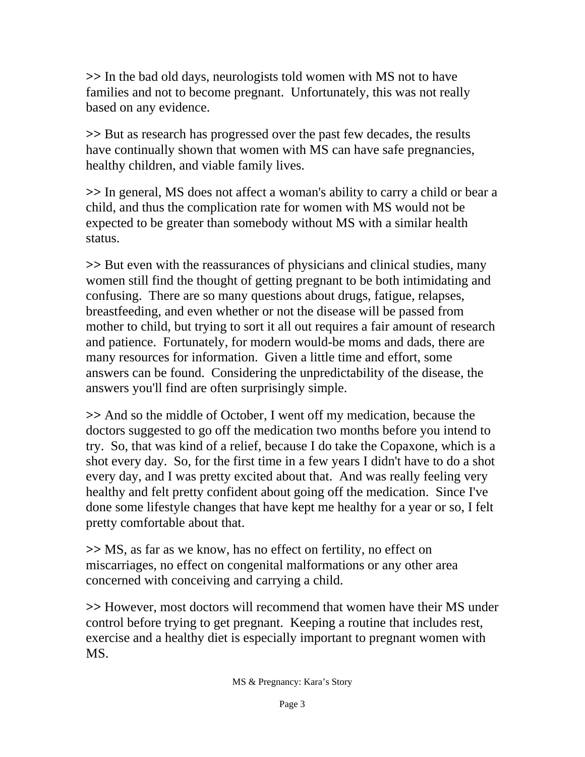**>>** In the bad old days, neurologists told women with MS not to have families and not to become pregnant. Unfortunately, this was not really based on any evidence.

**>>** But as research has progressed over the past few decades, the results have continually shown that women with MS can have safe pregnancies, healthy children, and viable family lives.

**>>** In general, MS does not affect a woman's ability to carry a child or bear a child, and thus the complication rate for women with MS would not be expected to be greater than somebody without MS with a similar health status.

**>>** But even with the reassurances of physicians and clinical studies, many women still find the thought of getting pregnant to be both intimidating and confusing. There are so many questions about drugs, fatigue, relapses, breastfeeding, and even whether or not the disease will be passed from mother to child, but trying to sort it all out requires a fair amount of research and patience. Fortunately, for modern would-be moms and dads, there are many resources for information. Given a little time and effort, some answers can be found. Considering the unpredictability of the disease, the answers you'll find are often surprisingly simple.

**>>** And so the middle of October, I went off my medication, because the doctors suggested to go off the medication two months before you intend to try. So, that was kind of a relief, because I do take the Copaxone, which is a shot every day. So, for the first time in a few years I didn't have to do a shot every day, and I was pretty excited about that. And was really feeling very healthy and felt pretty confident about going off the medication. Since I've done some lifestyle changes that have kept me healthy for a year or so, I felt pretty comfortable about that.

**>>** MS, as far as we know, has no effect on fertility, no effect on miscarriages, no effect on congenital malformations or any other area concerned with conceiving and carrying a child.

**>>** However, most doctors will recommend that women have their MS under control before trying to get pregnant. Keeping a routine that includes rest, exercise and a healthy diet is especially important to pregnant women with MS.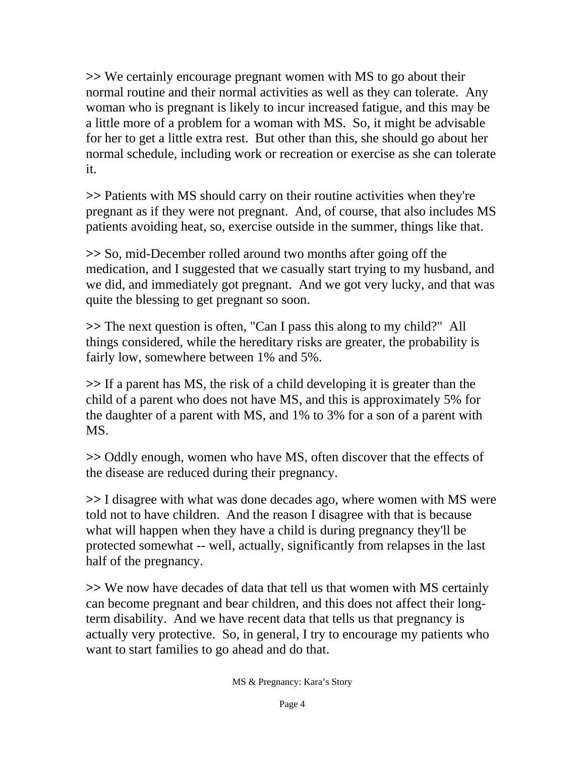**>>** We certainly encourage pregnant women with MS to go about their normal routine and their normal activities as well as they can tolerate. Any woman who is pregnant is likely to incur increased fatigue, and this may be a little more of a problem for a woman with MS. So, it might be advisable for her to get a little extra rest. But other than this, she should go about her normal schedule, including work or recreation or exercise as she can tolerate it.

**>>** Patients with MS should carry on their routine activities when they're pregnant as if they were not pregnant. And, of course, that also includes MS patients avoiding heat, so, exercise outside in the summer, things like that.

**>>** So, mid-December rolled around two months after going off the medication, and I suggested that we casually start trying to my husband, and we did, and immediately got pregnant. And we got very lucky, and that was quite the blessing to get pregnant so soon.

**>>** The next question is often, "Can I pass this along to my child?" All things considered, while the hereditary risks are greater, the probability is fairly low, somewhere between 1% and 5%.

**>>** If a parent has MS, the risk of a child developing it is greater than the child of a parent who does not have MS, and this is approximately 5% for the daughter of a parent with MS, and 1% to 3% for a son of a parent with MS.

**>>** Oddly enough, women who have MS, often discover that the effects of the disease are reduced during their pregnancy.

**>>** I disagree with what was done decades ago, where women with MS were told not to have children. And the reason I disagree with that is because what will happen when they have a child is during pregnancy they'll be protected somewhat -- well, actually, significantly from relapses in the last half of the pregnancy.

**>>** We now have decades of data that tell us that women with MS certainly can become pregnant and bear children, and this does not affect their longterm disability. And we have recent data that tells us that pregnancy is actually very protective. So, in general, I try to encourage my patients who want to start families to go ahead and do that.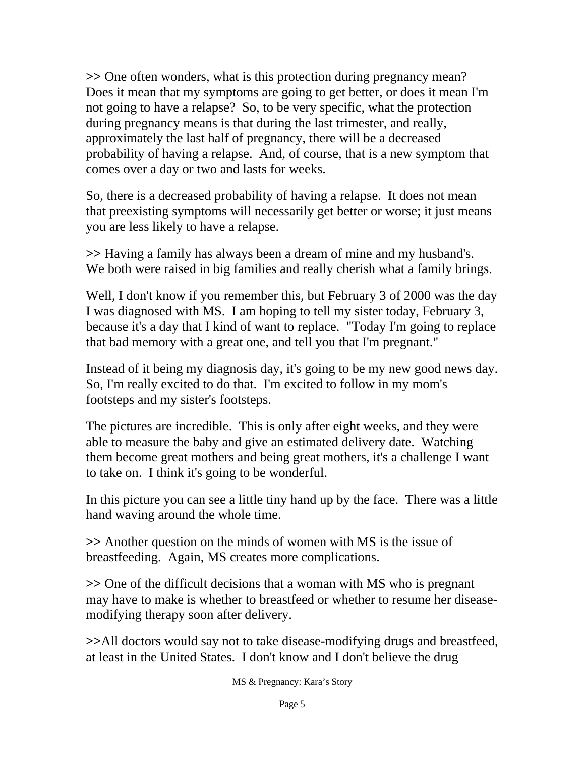**>>** One often wonders, what is this protection during pregnancy mean? Does it mean that my symptoms are going to get better, or does it mean I'm not going to have a relapse? So, to be very specific, what the protection during pregnancy means is that during the last trimester, and really, approximately the last half of pregnancy, there will be a decreased probability of having a relapse. And, of course, that is a new symptom that comes over a day or two and lasts for weeks.

So, there is a decreased probability of having a relapse. It does not mean that preexisting symptoms will necessarily get better or worse; it just means you are less likely to have a relapse.

**>>** Having a family has always been a dream of mine and my husband's. We both were raised in big families and really cherish what a family brings.

Well, I don't know if you remember this, but February 3 of 2000 was the day I was diagnosed with MS. I am hoping to tell my sister today, February 3, because it's a day that I kind of want to replace. "Today I'm going to replace that bad memory with a great one, and tell you that I'm pregnant."

Instead of it being my diagnosis day, it's going to be my new good news day. So, I'm really excited to do that. I'm excited to follow in my mom's footsteps and my sister's footsteps.

The pictures are incredible. This is only after eight weeks, and they were able to measure the baby and give an estimated delivery date. Watching them become great mothers and being great mothers, it's a challenge I want to take on. I think it's going to be wonderful.

In this picture you can see a little tiny hand up by the face. There was a little hand waving around the whole time.

**>>** Another question on the minds of women with MS is the issue of breastfeeding. Again, MS creates more complications.

**>>** One of the difficult decisions that a woman with MS who is pregnant may have to make is whether to breastfeed or whether to resume her diseasemodifying therapy soon after delivery.

**>>**All doctors would say not to take disease-modifying drugs and breastfeed, at least in the United States. I don't know and I don't believe the drug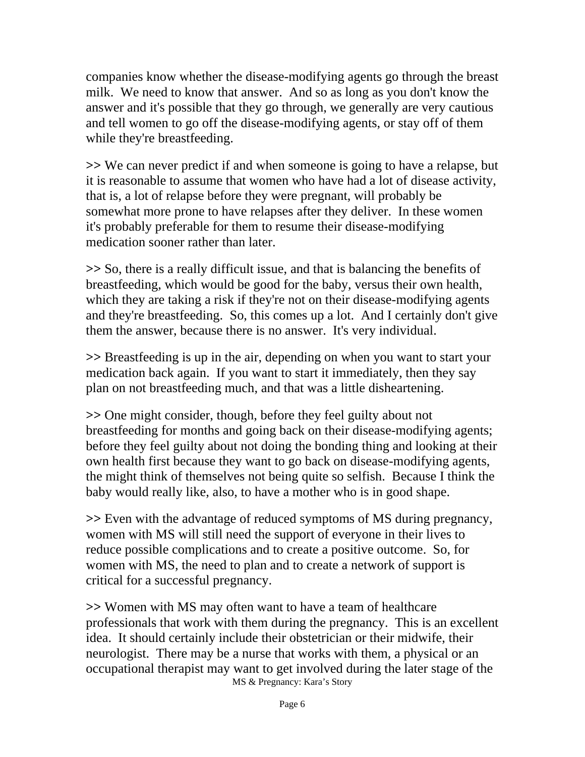companies know whether the disease-modifying agents go through the breast milk. We need to know that answer. And so as long as you don't know the answer and it's possible that they go through, we generally are very cautious and tell women to go off the disease-modifying agents, or stay off of them while they're breastfeeding.

**>>** We can never predict if and when someone is going to have a relapse, but it is reasonable to assume that women who have had a lot of disease activity, that is, a lot of relapse before they were pregnant, will probably be somewhat more prone to have relapses after they deliver. In these women it's probably preferable for them to resume their disease-modifying medication sooner rather than later.

**>>** So, there is a really difficult issue, and that is balancing the benefits of breastfeeding, which would be good for the baby, versus their own health, which they are taking a risk if they're not on their disease-modifying agents and they're breastfeeding. So, this comes up a lot. And I certainly don't give them the answer, because there is no answer. It's very individual.

**>>** Breastfeeding is up in the air, depending on when you want to start your medication back again. If you want to start it immediately, then they say plan on not breastfeeding much, and that was a little disheartening.

**>>** One might consider, though, before they feel guilty about not breastfeeding for months and going back on their disease-modifying agents; before they feel guilty about not doing the bonding thing and looking at their own health first because they want to go back on disease-modifying agents, the might think of themselves not being quite so selfish. Because I think the baby would really like, also, to have a mother who is in good shape.

**>>** Even with the advantage of reduced symptoms of MS during pregnancy, women with MS will still need the support of everyone in their lives to reduce possible complications and to create a positive outcome. So, for women with MS, the need to plan and to create a network of support is critical for a successful pregnancy.

MS & Pregnancy: Kara's Story **>>** Women with MS may often want to have a team of healthcare professionals that work with them during the pregnancy. This is an excellent idea. It should certainly include their obstetrician or their midwife, their neurologist. There may be a nurse that works with them, a physical or an occupational therapist may want to get involved during the later stage of the